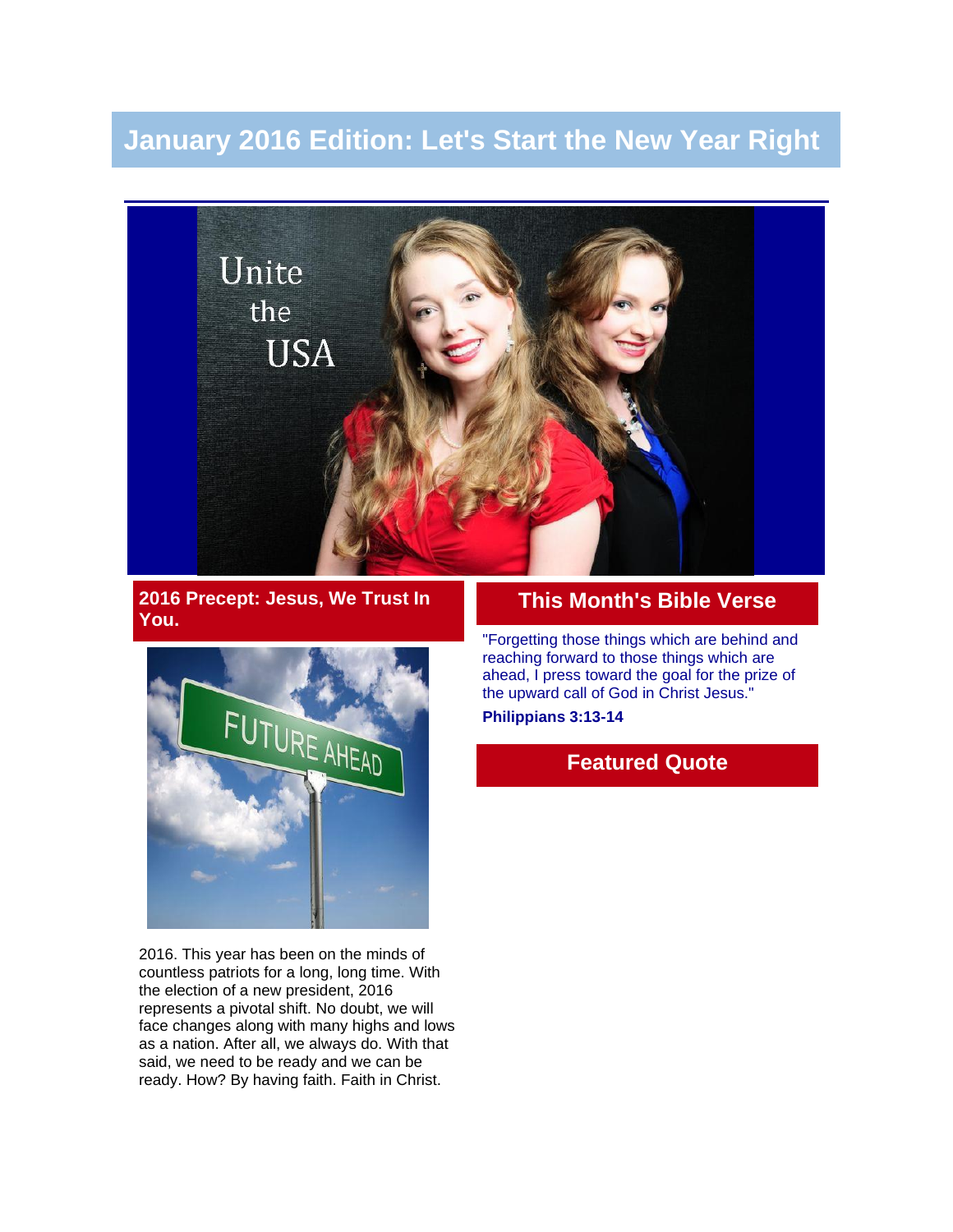# **January 2016 Edition: Let's Start the New Year Right**



**2016 Precept: Jesus, We Trust In You.**



2016. This year has been on the minds of countless patriots for a long, long time. With the election of a new president, 2016 represents a pivotal shift. No doubt, we will face changes along with many highs and lows as a nation. After all, we always do. With that said, we need to be ready and we can be ready. How? By having faith. Faith in Christ.

### **This Month's Bible Verse**

"Forgetting those things which are behind and reaching forward to those things which are ahead, I press toward the goal for the prize of the upward call of God in Christ Jesus." **Philippians 3:13-14**

# **Featured Quote**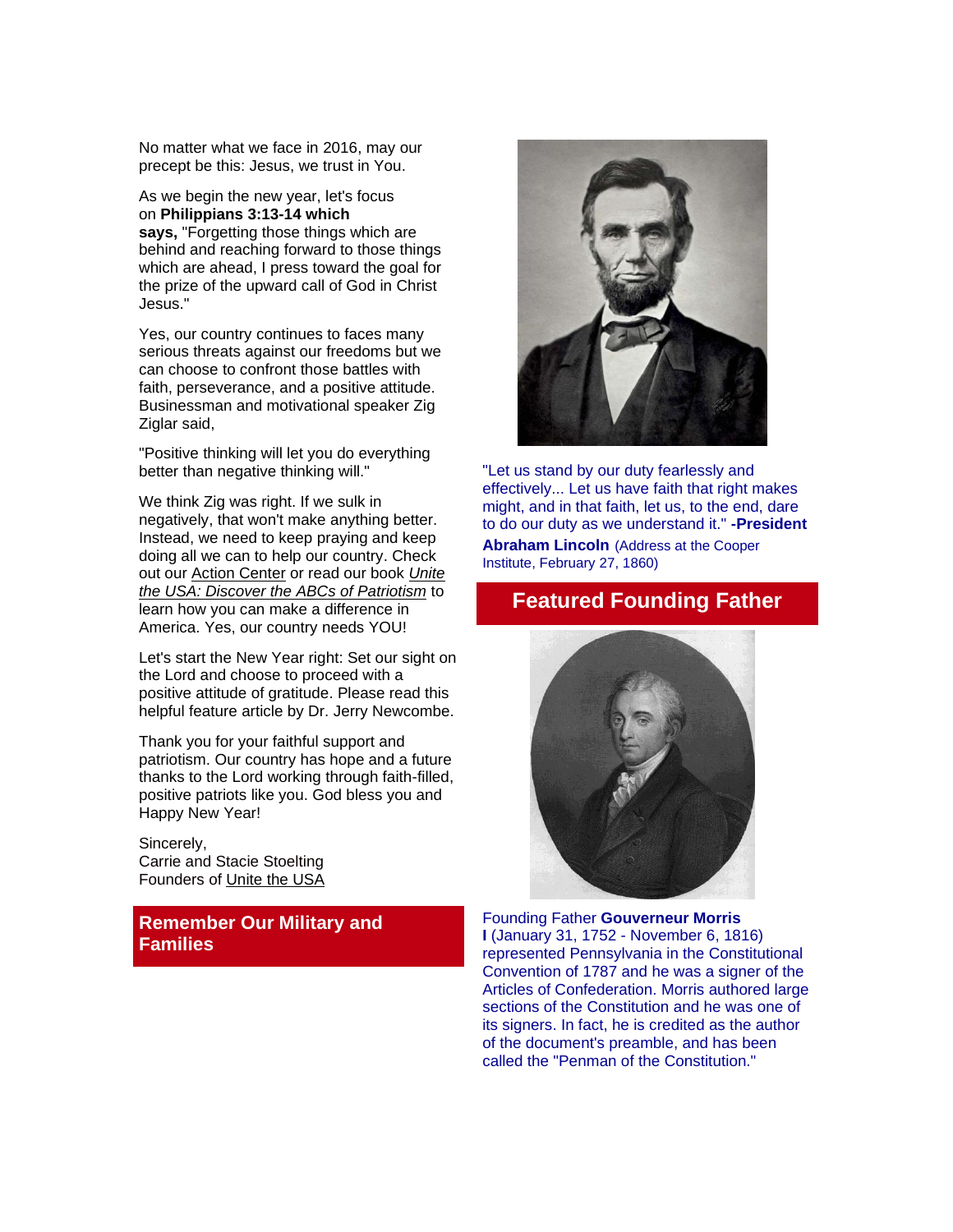No matter what we face in 2016, may our precept be this: Jesus, we trust in You.

As we begin the new year, let's focus on **Philippians 3:13-14 which says,** "Forgetting those things which are behind and reaching forward to those things which are ahead. I press toward the goal for the prize of the upward call of God in Christ Jesus."

Yes, our country continues to faces many serious threats against our freedoms but we can choose to confront those battles with faith, perseverance, and a positive attitude. Businessman and motivational speaker Zig Ziglar said,

"Positive thinking will let you do everything better than negative thinking will."

We think Zig was right. If we sulk in negatively, that won't make anything better. Instead, we need to keep praying and keep doing all we can to help our country. Check out our [Action Center](http://unitetheusa.org/id46.html) or read our book *[Unite](http://unitetheusa.org/id56.html)  [the USA: Discover the ABCs of Patriotism](http://unitetheusa.org/id56.html)* to learn how you can make a difference in America. Yes, our country needs YOU!

Let's start the New Year right: Set our sight on the Lord and choose to proceed with a positive attitude of gratitude. Please read this helpful feature article by Dr. Jerry Newcombe.

Thank you for your faithful support and patriotism. Our country has hope and a future thanks to the Lord working through faith-filled, positive patriots like you. God bless you and Happy New Year!

Sincerely, Carrie and Stacie Stoelting Founders of [Unite the USA](http://unitetheusa.org/index.html)

**Remember Our Military and Families**



"Let us stand by our duty fearlessly and effectively... Let us have faith that right makes might, and in that faith, let us, to the end, dare to do our duty as we understand it." **-President Abraham Lincoln** (Address at the Cooper Institute, February 27, 1860)

# **Featured Founding Father**



Founding Father **Gouverneur Morris I** (January 31, 1752 - November 6, 1816) represented Pennsylvania in the Constitutional Convention of 1787 and he was a signer of the Articles of Confederation. Morris authored large sections of the Constitution and he was one of its signers. In fact, he is credited as the author of the document's preamble, and has been called the "Penman of the Constitution."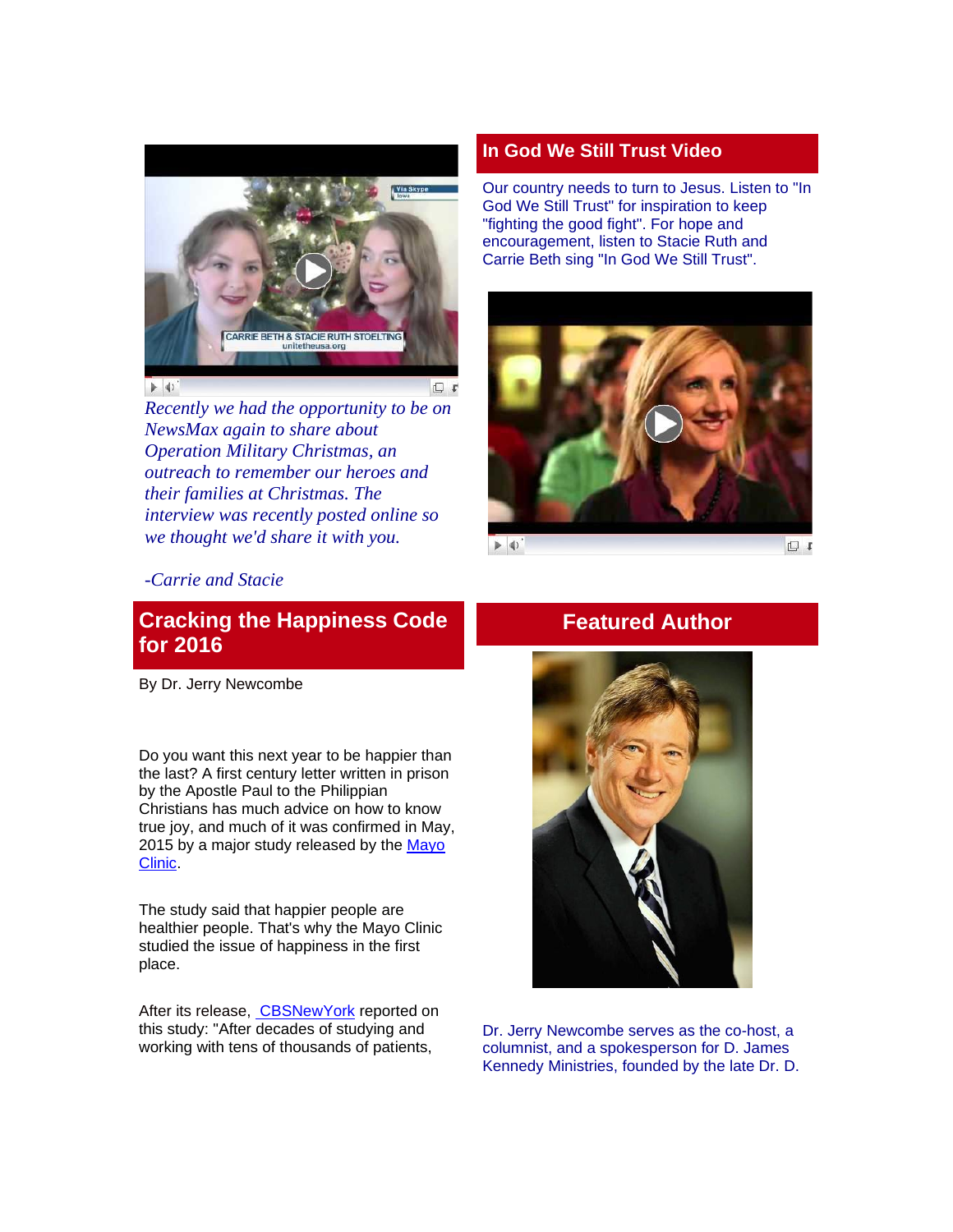

*Recently we had the opportunity to be on NewsMax again to share about Operation Military Christmas, an outreach to remember our heroes and their families at Christmas. The interview was recently posted online so we thought we'd share it with you.*

#### **In God We Still Trust Video**

Our country needs to turn to Jesus. Listen to "In God We Still Trust" for inspiration to keep "fighting the good fight". For hope and encouragement, listen to Stacie Ruth and Carrie Beth sing "In God We Still Trust".



 $\blacktriangleright$  4)

日 +

#### *-Carrie and Stacie*

# **Cracking the Happiness Code for 2016**

By Dr. Jerry Newcombe

Do you want this next year to be happier than the last? A first century letter written in prison by the Apostle Paul to the Philippian Christians has much advice on how to know true joy, and much of it was confirmed in May, 2015 by a major study released by the [Mayo](http://www.mayoclinic.org/healthy-lifestyle/stress-management/in-depth/how-to-be-happy/art-20045714)  [Clinic.](http://www.mayoclinic.org/healthy-lifestyle/stress-management/in-depth/how-to-be-happy/art-20045714)

The study said that happier people are healthier people. That's why the Mayo Clinic studied the issue of happiness in the first place.

After its release, **[CBSNewYork](http://newyork.cbslocal.com/2015/06/05/researchers-cracked-code-happiness/)** reported on this study: "After decades of studying and working with tens of thousands of patients,

#### **Featured Author**



Dr. Jerry Newcombe serves as the co-host, a columnist, and a spokesperson for D. James Kennedy Ministries, founded by the late Dr. D.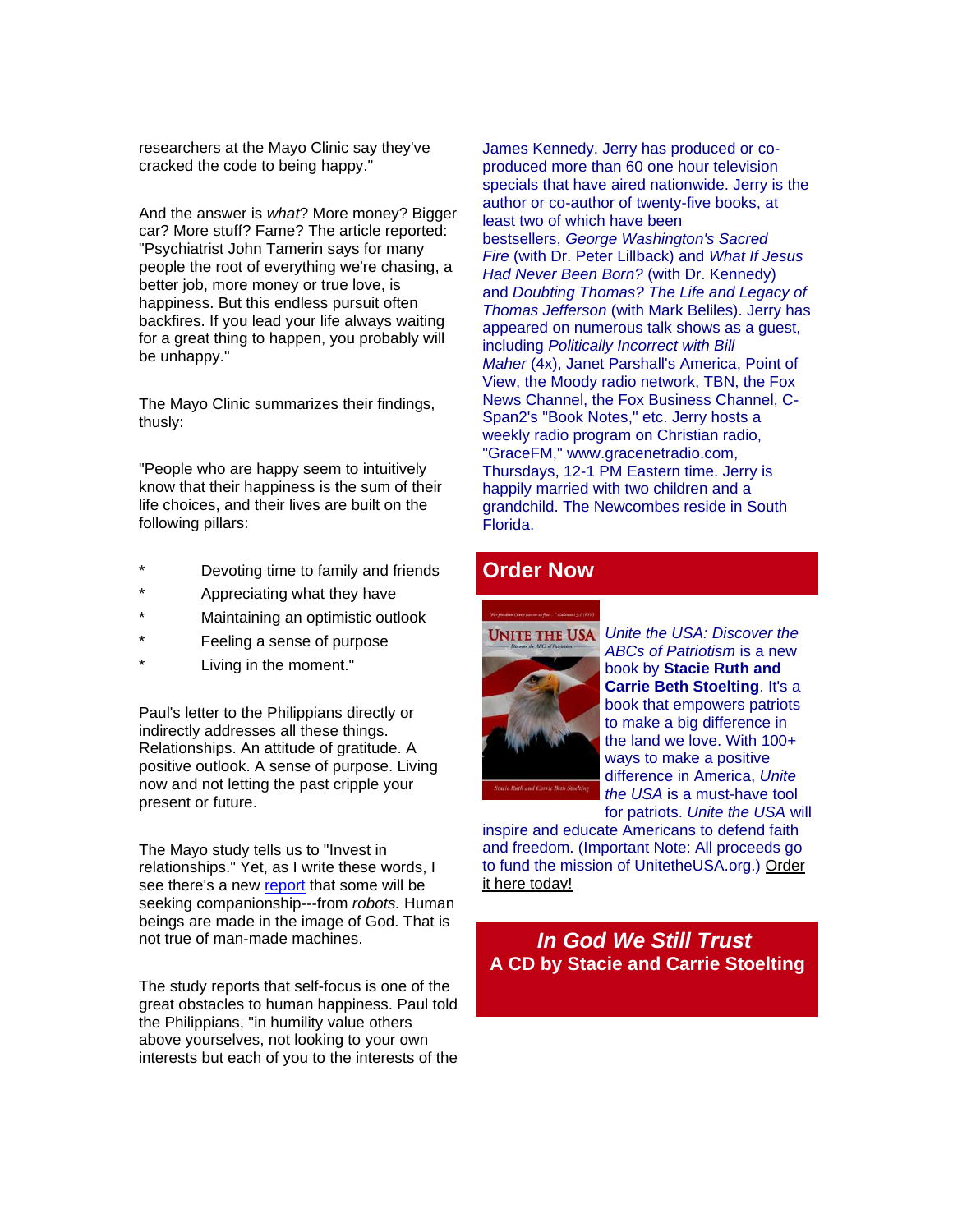researchers at the Mayo Clinic say they've cracked the code to being happy."

And the answer is *what*? More money? Bigger car? More stuff? Fame? The article reported: "Psychiatrist John Tamerin says for many people the root of everything we're chasing, a better job, more money or true love, is happiness. But this endless pursuit often backfires. If you lead your life always waiting for a great thing to happen, you probably will be unhappy."

The Mayo Clinic summarizes their findings, thusly:

"People who are happy seem to intuitively know that their happiness is the sum of their life choices, and their lives are built on the following pillars:

- Devoting time to family and friends
- Appreciating what they have
- \* Maintaining an optimistic outlook
- Feeling a sense of purpose
- Living in the moment."

Paul's letter to the Philippians directly or indirectly addresses all these things. Relationships. An attitude of gratitude. A positive outlook. A sense of purpose. Living now and not letting the past cripple your present or future.

The Mayo study tells us to "Invest in relationships." Yet, as I write these words, I see there's a new [report](http://www.computerworld.com/article/3018162/emerging-technology/the-dark-side-of-the-coming-chatbot-revolution.html) that some will be seeking companionship---from *robots.* Human beings are made in the image of God. That is not true of man-made machines.

The study reports that self-focus is one of the great obstacles to human happiness. Paul told the Philippians, "in humility value others above yourselves, not looking to your own interests but each of you to the interests of the James Kennedy. Jerry has produced or coproduced more than 60 one hour television specials that have aired nationwide. Jerry is the author or co-author of twenty-five books, at least two of which have been bestsellers, *George Washington's Sacred Fire* (with Dr. Peter Lillback) and *What If Jesus Had Never Been Born?* (with Dr. Kennedy) and *Doubting Thomas? The Life and Legacy of Thomas Jefferson* (with Mark Beliles). Jerry has appeared on numerous talk shows as a guest, including *Politically Incorrect with Bill Maher* (4x), Janet Parshall's America, Point of View, the Moody radio network, TBN, the Fox News Channel, the Fox Business Channel, C-Span2's "Book Notes," etc. Jerry hosts a weekly radio program on Christian radio, "GraceFM," www.gracenetradio.com, Thursdays, 12-1 PM Eastern time. Jerry is happily married with two children and a grandchild. The Newcombes reside in South Florida.

#### **Order Now**



*Unite the USA: Discover the ABCs of Patriotism* is a new book by **Stacie Ruth and Carrie Beth Stoelting**. It's a book that empowers patriots to make a big difference in the land we love. With 100+ ways to make a positive difference in America, *Unite the USA* is a must-have tool for patriots. *Unite the USA* will

inspire and educate Americans to defend faith and freedom. (Important Note: All proceeds go to fund the mission of UnitetheUSA.org.) [Order](http://unitetheusa.org/id56.html)  [it here today!](http://unitetheusa.org/id56.html)

#### *In God We Still Trust* **A CD by Stacie and Carrie Stoelting**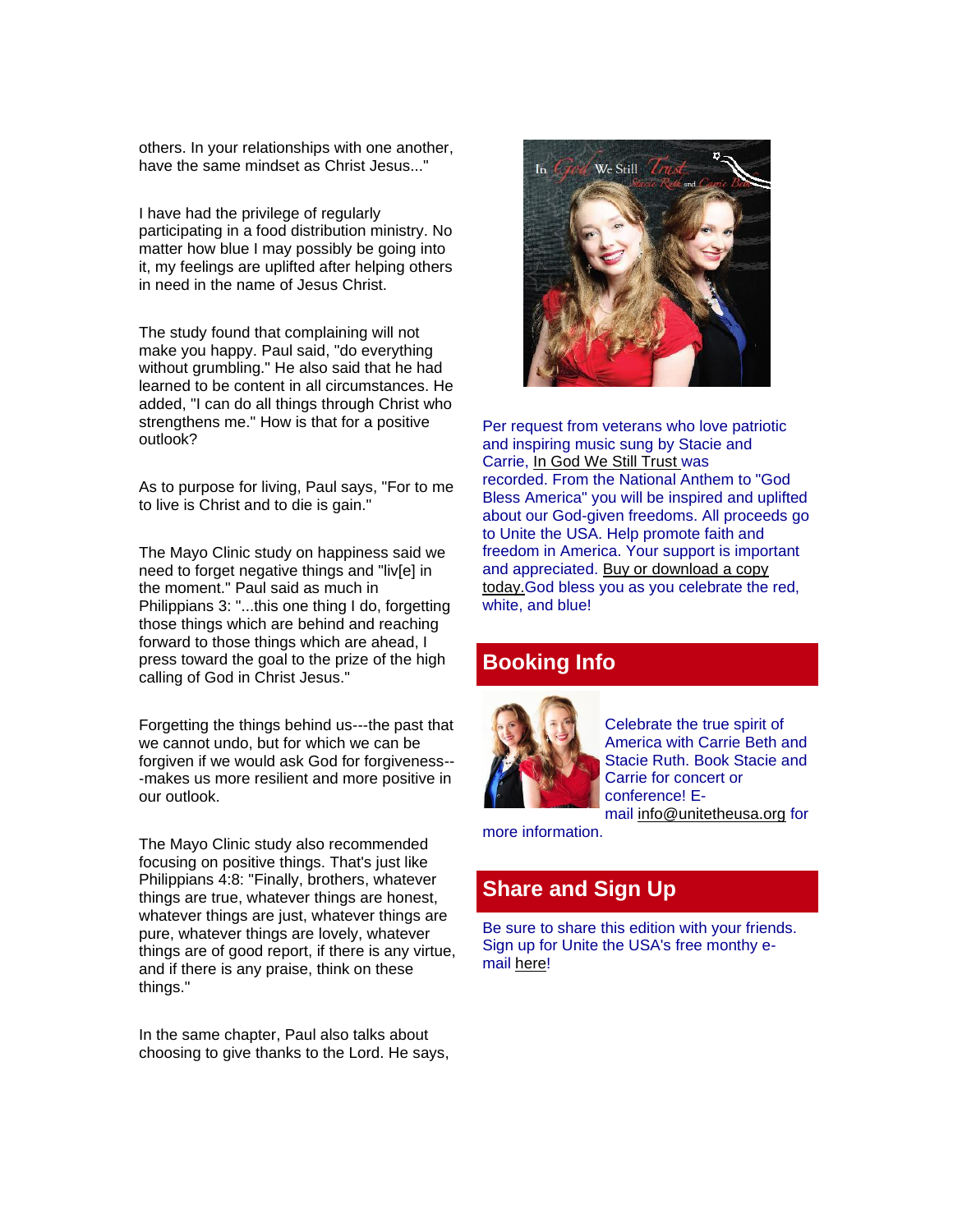others. In your relationships with one another, have the same mindset as Christ Jesus..."

I have had the privilege of regularly participating in a food distribution ministry. No matter how blue I may possibly be going into it, my feelings are uplifted after helping others in need in the name of Jesus Christ.

The study found that complaining will not make you happy. Paul said, "do everything without grumbling." He also said that he had learned to be content in all circumstances. He added, "I can do all things through Christ who strengthens me." How is that for a positive outlook?

As to purpose for living, Paul says, "For to me to live is Christ and to die is gain."

The Mayo Clinic study on happiness said we need to forget negative things and "liv[e] in the moment." Paul said as much in Philippians 3: "...this one thing I do, forgetting those things which are behind and reaching forward to those things which are ahead, I press toward the goal to the prize of the high calling of God in Christ Jesus."

Forgetting the things behind us---the past that we cannot undo, but for which we can be forgiven if we would ask God for forgiveness-- -makes us more resilient and more positive in our outlook.

The Mayo Clinic study also recommended focusing on positive things. That's just like Philippians 4:8: "Finally, brothers, whatever things are true, whatever things are honest, whatever things are just, whatever things are pure, whatever things are lovely, whatever things are of good report, if there is any virtue, and if there is any praise, think on these things."

In the same chapter, Paul also talks about choosing to give thanks to the Lord. He says,



Per request from veterans who love patriotic and inspiring music sung by Stacie and Carrie, [In God We Still Trust](http://unitetheusa.org/id56.html) was recorded. From the National Anthem to "God Bless America" you will be inspired and uplifted about our God-given freedoms. All proceeds go to Unite the USA. Help promote faith and freedom in America. Your support is important and appreciated. [Buy or download a copy](http://unitetheusa.org/id56.html)  [today.G](http://unitetheusa.org/id56.html)od bless you as you celebrate the red, white, and blue!

#### **Booking Info**



Celebrate the true spirit of America with Carrie Beth and Stacie Ruth. Book Stacie and Carrie for concert or conference! Email [info@unitetheusa.org](mailto:info@unitetheusa.org) for

more information.

#### **Share and Sign Up**

Be sure to share this edition with your friends. Sign up for Unite the USA's free monthy email [here!](http://unitetheusa.org/id2.html)